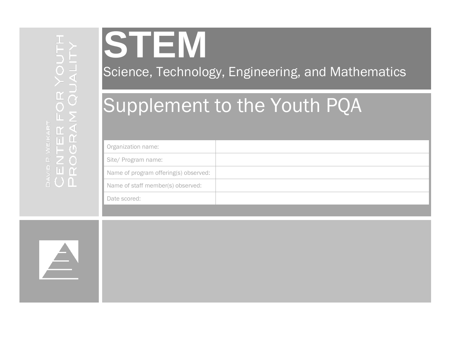

Science, Technology, Engineering, and Mathematics

# Supplement to the Youth PQA

| Organization name:                    |  |
|---------------------------------------|--|
| Site/ Program name:                   |  |
| Name of program offering(s) observed: |  |
| Name of staff member(s) observed:     |  |
| Date scored:                          |  |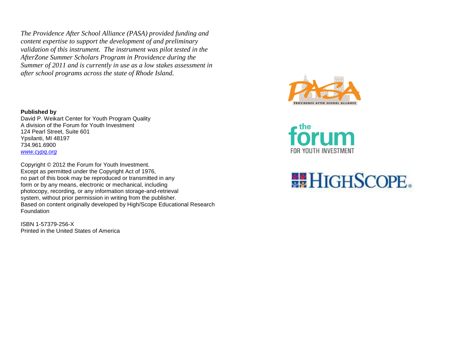*The Providence After School Alliance (PASA) provided funding and content expertise to support the development of and preliminary validation of this instrument. The instrument was pilot tested in the AfterZone Summer Scholars Program in Providence during the Summer of 2011 and is currently in use as a low stakes assessment in after school programs across the state of Rhode Island.*

**Published by** David P. Weikart Center for Youth Program Quality A division of the Forum for Youth Investment 124 Pearl Street, Suite 601 Ypsilanti, MI 48197 734.961.6900 *[www.cypq.org](http://www.cypq.org/)*

Copyright © 2012 the Forum for Youth Investment. Except as permitted under the Copyright Act of 1976, no part of this book may be reproduced or transmitted in any form or by any means, electronic or mechanical, including photocopy, recording, or any information storage-and-retrieval system, without prior permission in writing from the publisher. Based on content originally developed by High/Scope Educational Research Foundation

ISBN 1-57379-256-X Printed in the United States of America





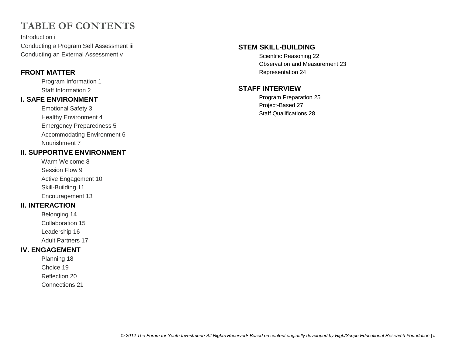## **TABLE OF CONTENTS**

Introduction i Conducting a Program Self Assessment iii Conducting an External Assessment v

#### **FRONT MATTER**

Program Information 1 Staff Information 2

#### **I. SAFE ENVIRONMENT**

Emotional Safety 3 Healthy Environment 4 Emergency Preparedness 5 Accommodating Environment 6 Nourishment 7

#### **II. SUPPORTIVE ENVIRONMENT**

Warm Welcome 8 Session Flow 9 Active Engagement 10 Skill-Building 11 Encouragement 13

#### **II. INTERACTION**

Belonging 14 Collaboration 15 Leadership 16 Adult Partners 17

#### **IV. ENGAGEMENT**

Planning 18 Choice 19 Reflection 20 Connections 21

#### **STEM SKILL-BUILDING**

Scientific Reasoning 22 Observation and Measurement 23 Representation 24

#### **STAFF INTERVIEW**

Program Preparation 25 Project-Based 27 Staff Qualifications 28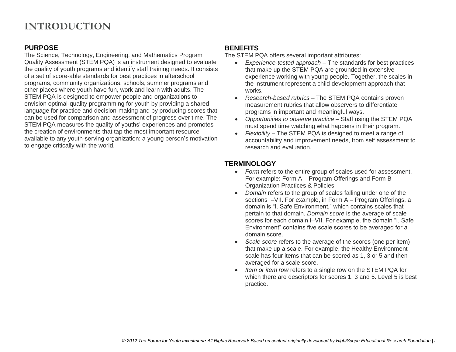## **INTRODUCTION**

#### **PURPOSE**

The Science, Technology, Engineering, and Mathematics Program Quality Assessment (STEM PQA) is an instrument designed to evaluate the quality of youth programs and identify staff training needs. It consists of a set of score-able standards for best practices in afterschool programs, community organizations, schools, summer programs and other places where youth have fun, work and learn with adults. The STEM PQA is designed to empower people and organizations to envision optimal-quality programming for youth by providing a shared language for practice and decision-making and by producing scores that can be used for comparison and assessment of progress over time. The STEM PQA measures the quality of youths' experiences and promotes the creation of environments that tap the most important resource available to any youth-serving organization: a young person's motivation to engage critically with the world.

#### **BENEFITS**

The STEM PQA offers several important attributes:

- *Experience-tested approach –* The standards for best practices that make up the STEM PQA are grounded in extensive experience working with young people. Together, the scales in the instrument represent a child development approach that works.
- *Research-based rubrics –* The STEM PQA contains proven measurement rubrics that allow observers to differentiate programs in important and meaningful ways.
- *Opportunities to observe practice –* Staff using the STEM PQA must spend time watching what happens in their program.
- *Flexibility –* The STEM PQA is designed to meet a range of accountability and improvement needs, from self assessment to research and evaluation.

#### **TERMINOLOGY**

- *Form* refers to the entire group of scales used for assessment. For example: Form A – Program Offerings and Form B – Organization Practices & Policies.
- *Domain* refers to the group of scales falling under one of the sections I–VII. For example, in Form A – Program Offerings, a domain is "I. Safe Environment," which contains scales that pertain to that domain. *Domain score* is the average of scale scores for each domain I–VII. For example, the domain "I. Safe Environment" contains five scale scores to be averaged for a domain score.
- *Scale score* refers to the average of the scores (one per item) that make up a scale. For example, the Healthy Environment scale has four items that can be scored as 1, 3 or 5 and then averaged for a scale score.
- *Item or item row* refers to a single row on the STEM PQA for which there are descriptors for scores 1, 3 and 5. Level 5 is best practice.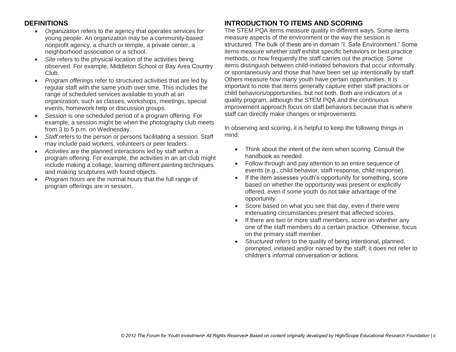#### **DEFINITIONS**

- *Organization* refers to the agency that operates services for young people. An organization may be a community-based nonprofit agency, a church or temple, a private center, a neighborhood association or a school.
- *Site* refers to the physical location of the activities being observed. For example, Middleton School or Bay Area Country Club.
- *Program offerings* refer to structured activities that are led by regular staff with the same youth over time. This includes the range of scheduled services available to youth at an organization, such as classes, workshops, meetings, special events, homework help or discussion groups.
- *Session* is one scheduled period of a program offering. For example, a session might be when the photography club meets from 3 to 5 p.m. on Wednesday.
- Staff refers to the person or persons facilitating a session. Staff may include paid workers, volunteers or peer leaders.
- *Activities* are the planned interactions led by staff within a program offering. For example, the activities in an art club might include making a collage, learning different painting techniques and making sculptures with found objects.
- *Program hours* are the normal hours that the full range of program offerings are in session.

#### **INTRODUCTION TO ITEMS AND SCORING**

The STEM PQA items measure quality in different ways. Some items measure aspects of the environment or the way the session is structured. The bulk of these are in domain "I. Safe Environment." Some items measure whether *staff* exhibit specific behaviors or best practice methods, or how frequently the staff carries out the practice. Some items distinguish between child-initiated behaviors that occur informally or spontaneously and those that have been set up intentionally by staff. Others measure *how many* youth have certain opportunities. It is important to note that items generally capture either staff practices or child behaviors/opportunities, but not both. Both are indicators of a quality program, although the STEM PQA and the continuous improvement approach focus on staff behaviors because that is where staff can directly make changes or improvements.

In observing and scoring, it is helpful to keep the following things in mind:

- Think about the intent of the item when scoring. Consult the handbook as needed.
- Follow through and pay attention to an entire sequence of events (e.g., child behavior, staff response, child response).
- If the item assesses youth's opportunity for something, score based on whether the opportunity was present or explicitly offered, even if some youth do not take advantage of the opportunity.
- Score based on what you see that day, even if there were extenuating circumstances present that affected scores.
- If there are two or more staff members, score on whether any one of the staff members do a certain practice. Otherwise, focus on the primary staff member.
- *Structured* refers to the quality of being intentional, planned, prompted, initiated and/or named by the staff; it does not refer to children's informal conversation or actions.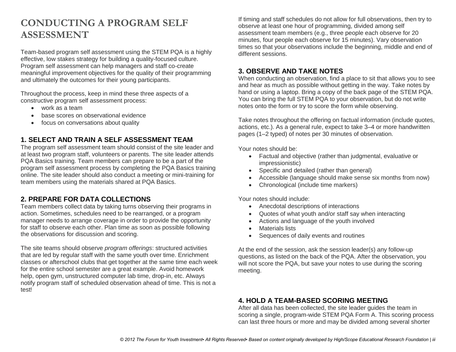#### **CONDUCTING A PROGRAM SELF ASSESSMENT**

Team-based program self assessment using the STEM PQA is a highly effective, low stakes strategy for building a quality-focused culture. Program self assessment can help managers and staff co-create meaningful improvement objectives for the quality of their programming and ultimately the outcomes for their young participants.

Throughout the process, keep in mind these three aspects of a constructive program self assessment process:

- work as a team
- base scores on observational evidence
- focus on conversations about quality

#### **1. SELECT AND TRAIN A SELF ASSESSMENT TEAM**

The program self assessment team should consist of the site leader and at least two program staff, volunteers or parents. The site leader attends PQA Basics training. Team members can prepare to be a part of the program self assessment process by completing the PQA Basics training online. The site leader should also conduct a meeting or mini-training for team members using the materials shared at PQA Basics.

#### **2. PREPARE FOR DATA COLLECTIONS**

Team members collect data by taking turns observing their programs in action. Sometimes, schedules need to be rearranged, or a program manager needs to arrange coverage in order to provide the opportunity for staff to observe each other. Plan time as soon as possible following the observations for discussion and scoring.

The site teams should observe *program offerings*: structured activities that are led by regular staff with the same youth over time. Enrichment classes or afterschool clubs that get together at the same time each week for the entire school semester are a great example. Avoid homework help, open gym, unstructured computer lab time, drop-in, etc. Always notify program staff of scheduled observation ahead of time. This is not a test!

If timing and staff schedules do not allow for full observations, then try to observe at least one hour of programming, divided among self assessment team members (e.g., three people each observe for 20 minutes, four people each observe for 15 minutes). Vary observation times so that your observations include the beginning, middle and end of different sessions.

#### **3. OBSERVE AND TAKE NOTES**

When conducting an observation, find a place to sit that allows you to see and hear as much as possible without getting in the way. Take notes by hand or using a laptop. Bring a copy of the back page of the STEM PQA. You can bring the full STEM PQA to your observation, but do not write notes onto the form or try to score the form while observing.

Take notes throughout the offering on factual information (include quotes, actions, etc.). As a general rule, expect to take 3–4 or more handwritten pages (1–2 typed) of notes per 30 minutes of observation.

Your notes should be:

- Factual and objective (rather than judgmental, evaluative or impressionistic)
- Specific and detailed (rather than general)
- Accessible (language should make sense six months from now)
- Chronological (include time markers)

Your notes should include:

- Anecdotal descriptions of interactions
- Quotes of what youth and/or staff say when interacting
- Actions and language of the youth involved
- Materials lists
- Sequences of daily events and routines

At the end of the session, ask the session leader(s) any follow-up questions, as listed on the back of the PQA. After the observation, you will not score the PQA, but save your notes to use during the scoring meeting.

#### **4. HOLD A TEAM-BASED SCORING MEETING**

After all data has been collected, the site leader guides the team in scoring a single, program-wide STEM PQA Form A. This scoring process can last three hours or more and may be divided among several shorter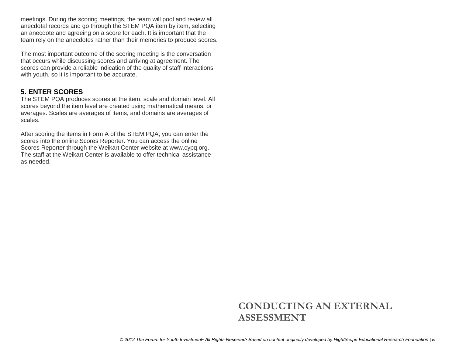meetings. During the scoring meetings, the team will pool and review all anecdotal records and go through the STEM PQA item by item, selecting an anecdote and agreeing on a score for each. It is important that the team rely on the anecdotes rather than their memories to produce scores.

The most important outcome of the scoring meeting is the conversation that occurs while discussing scores and arriving at agreement. The scores can provide a reliable indication of the quality of staff interactions with youth, so it is important to be accurate.

#### **5. ENTER SCORES**

The STEM PQA produces scores at the item, scale and domain level. All scores beyond the item level are created using mathematical means, or averages. Scales are averages of items, and domains are averages of scales.

After scoring the items in Form A of the STEM PQA, you can enter the scores into the online Scores Reporter. You can access the online Scores Reporter through the Weikart Center website at www.cypq.org. The staff at the Weikart Center is available to offer technical assistance as needed.

## **CONDUCTING AN EXTERNAL ASSESSMENT**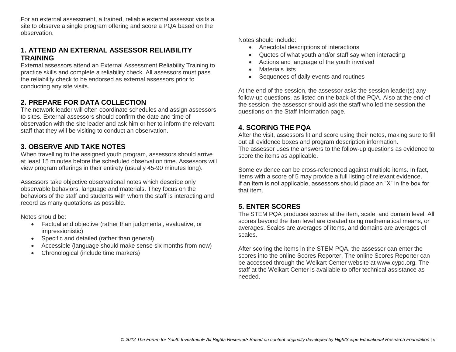For an external assessment, a trained, reliable external assessor visits a site to observe a single program offering and score a PQA based on the observation.

#### **1. ATTEND AN EXTERNAL ASSESSOR RELIABILITY TRAINING**

External assessors attend an External Assessment Reliability Training to practice skills and complete a reliability check. All assessors must pass the reliability check to be endorsed as external assessors prior to conducting any site visits.

#### **2. PREPARE FOR DATA COLLECTION**

The network leader will often coordinate schedules and assign assessors to sites. External assessors should confirm the date and time of observation with the site leader and ask him or her to inform the relevant staff that they will be visiting to conduct an observation.

#### **3. OBSERVE AND TAKE NOTES**

When travelling to the assigned youth program, assessors should arrive at least 15 minutes before the scheduled observation time. Assessors will view program offerings in their entirety (usually 45-90 minutes long).

Assessors take objective observational notes which describe only observable behaviors, language and materials. They focus on the behaviors of the staff and students with whom the staff is interacting and record as many quotations as possible.

Notes should be:

- Factual and objective (rather than judgmental, evaluative, or impressionistic)
- Specific and detailed (rather than general)
- Accessible (language should make sense six months from now)
- Chronological (include time markers)

Notes should include:

- Anecdotal descriptions of interactions
- Quotes of what youth and/or staff say when interacting
- Actions and language of the youth involved
- Materials lists
- Sequences of daily events and routines

At the end of the session, the assessor asks the session leader(s) any follow-up questions, as listed on the back of the PQA. Also at the end of the session, the assessor should ask the staff who led the session the questions on the Staff Information page.

#### **4. SCORING THE PQA**

After the visit, assessors fit and score using their notes, making sure to fill out all evidence boxes and program description information. The assessor uses the answers to the follow-up questions as evidence to score the items as applicable.

Some evidence can be cross-referenced against multiple items. In fact, items with a score of 5 may provide a full listing of relevant evidence. If an item is not applicable, assessors should place an "X" in the box for that item.

#### **5. ENTER SCORES**

The STEM PQA produces scores at the item, scale, and domain level. All scores beyond the item level are created using mathematical means, or averages. Scales are averages of items, and domains are averages of scales.

After scoring the items in the STEM PQA, the assessor can enter the scores into the online Scores Reporter. The online Scores Reporter can be accessed through the Weikart Center website at www.cypq.org. The staff at the Weikart Center is available to offer technical assistance as needed.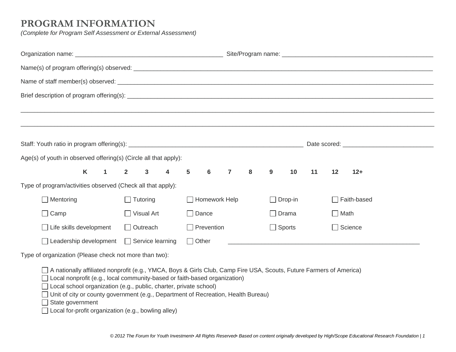#### **PROGRAM INFORMATION**

*(Complete for Program Self Assessment or External Assessment)*

|  | Age(s) of youth in observed offering(s) (Circle all that apply):                                                    |   |              |                |                         |                         |                |                      |                |   |               |         |    |             |                    |                                                                                                                       |
|--|---------------------------------------------------------------------------------------------------------------------|---|--------------|----------------|-------------------------|-------------------------|----------------|----------------------|----------------|---|---------------|---------|----|-------------|--------------------|-----------------------------------------------------------------------------------------------------------------------|
|  |                                                                                                                     | K | $\mathbf{1}$ | $\overline{2}$ | $\mathbf{3}$            | $\overline{\mathbf{4}}$ | $5\phantom{1}$ | 6                    | $\overline{7}$ | 8 | 9             | 10      | 11 | 12          | $12+$              |                                                                                                                       |
|  | Type of program/activities observed (Check all that apply):                                                         |   |              |                |                         |                         |                |                      |                |   |               |         |    |             |                    |                                                                                                                       |
|  | $\Box$ Mentoring                                                                                                    |   |              |                | $\Box$ Tutoring         |                         |                | $\Box$ Homework Help |                |   |               | Drop-in |    |             | $\Box$ Faith-based |                                                                                                                       |
|  | Camp                                                                                                                |   |              |                | $\Box$ Visual Art       |                         | □ Dance        |                      |                |   | $\Box$ Drama  |         |    | $\Box$ Math |                    |                                                                                                                       |
|  | Life skills development                                                                                             |   |              |                | $\Box$ Outreach         |                         |                | $\Box$ Prevention    |                |   | $\Box$ Sports |         |    |             | $\Box$ Science     |                                                                                                                       |
|  | Leadership development                                                                                              |   |              |                | $\Box$ Service learning |                         | $\Box$ Other   |                      |                |   |               |         |    |             |                    | <u> 1989 - Johann Stoff, deutscher Stoff, der Stoff, der Stoff, der Stoff, der Stoff, der Stoff, der Stoff, der S</u> |
|  | Type of organization (Please check not more than two):                                                              |   |              |                |                         |                         |                |                      |                |   |               |         |    |             |                    |                                                                                                                       |
|  | A nationally affiliated nonprofit (e.g., YMCA, Boys & Girls Club, Camp Fire USA, Scouts, Future Farmers of America) |   |              |                |                         |                         |                |                      |                |   |               |         |    |             |                    |                                                                                                                       |

□ Local nonprofit (e.g., local community-based or faith-based organization)

□ Local school organization (e.g., public, charter, private school)

□ Unit of city or county government (e.g., Department of Recreation, Health Bureau)

State government

 $\Box$  Local for-profit organization (e.g., bowling alley)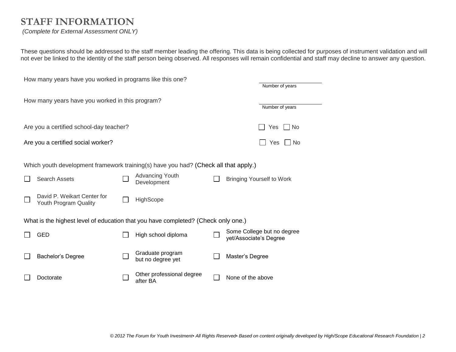## **STAFF INFORMATION**

#### *(Complete for External Assessment ONLY)*

These questions should be addressed to the staff member leading the offering. This data is being collected for purposes of instrument validation and will not ever be linked to the identity of the staff person being observed. All responses will remain confidential and staff may decline to answer any question.

| How many years have you worked in programs like this one? |                                                                                     |  |                                       |  |                                                      |  |  |  |  |
|-----------------------------------------------------------|-------------------------------------------------------------------------------------|--|---------------------------------------|--|------------------------------------------------------|--|--|--|--|
|                                                           | Number of years                                                                     |  |                                       |  |                                                      |  |  |  |  |
|                                                           | How many years have you worked in this program?                                     |  |                                       |  |                                                      |  |  |  |  |
|                                                           |                                                                                     |  |                                       |  | Number of years                                      |  |  |  |  |
|                                                           | Are you a certified school-day teacher?<br>Yes<br>No                                |  |                                       |  |                                                      |  |  |  |  |
|                                                           | Are you a certified social worker?                                                  |  |                                       |  | <b>No</b><br>Yes                                     |  |  |  |  |
|                                                           |                                                                                     |  |                                       |  |                                                      |  |  |  |  |
|                                                           | Which youth development framework training(s) have you had? (Check all that apply.) |  |                                       |  |                                                      |  |  |  |  |
|                                                           | Search Assets                                                                       |  | <b>Advancing Youth</b>                |  | <b>Bringing Yourself to Work</b>                     |  |  |  |  |
|                                                           |                                                                                     |  | Development                           |  |                                                      |  |  |  |  |
|                                                           | David P. Weikart Center for<br>Youth Program Quality                                |  | HighScope                             |  |                                                      |  |  |  |  |
|                                                           |                                                                                     |  |                                       |  |                                                      |  |  |  |  |
|                                                           | What is the highest level of education that you have completed? (Check only one.)   |  |                                       |  |                                                      |  |  |  |  |
|                                                           | <b>GED</b>                                                                          |  | High school diploma                   |  | Some College but no degree<br>yet/Associate's Degree |  |  |  |  |
|                                                           |                                                                                     |  |                                       |  |                                                      |  |  |  |  |
|                                                           | Bachelor's Degree                                                                   |  | Graduate program<br>but no degree yet |  | Master's Degree                                      |  |  |  |  |
|                                                           |                                                                                     |  | Other professional degree             |  |                                                      |  |  |  |  |
|                                                           | Doctorate                                                                           |  | after BA                              |  | None of the above                                    |  |  |  |  |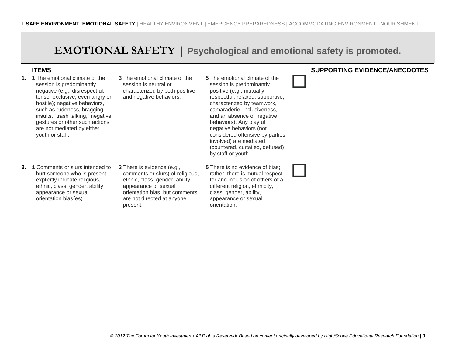## **EMOTIONAL SAFETY | Psychological and emotional safety is promoted.**

| <b>ITEMS</b>                                                                                                                                                                                                                                                                                                                       |                                                                                                                                                                                                       |                                                                                                                                                                                                                                                                                                                                                                                                   | <b>SUPPORTING EVIDENCE/ANECDOTES</b> |
|------------------------------------------------------------------------------------------------------------------------------------------------------------------------------------------------------------------------------------------------------------------------------------------------------------------------------------|-------------------------------------------------------------------------------------------------------------------------------------------------------------------------------------------------------|---------------------------------------------------------------------------------------------------------------------------------------------------------------------------------------------------------------------------------------------------------------------------------------------------------------------------------------------------------------------------------------------------|--------------------------------------|
| <b>1.</b> 1 The emotional climate of the<br>session is predominantly<br>negative (e.g., disrespectful,<br>tense, exclusive, even angry or<br>hostile); negative behaviors,<br>such as rudeness, bragging,<br>insults, "trash talking," negative<br>gestures or other such actions<br>are not mediated by either<br>youth or staff. | 3 The emotional climate of the<br>session is neutral or<br>characterized by both positive<br>and negative behaviors.                                                                                  | 5 The emotional climate of the<br>session is predominantly<br>positive (e.g., mutually<br>respectful, relaxed, supportive;<br>characterized by teamwork,<br>camaraderie, inclusiveness,<br>and an absence of negative<br>behaviors). Any playful<br>negative behaviors (not<br>considered offensive by parties<br>involved) are mediated<br>(countered, curtailed, defused)<br>by staff or youth. |                                      |
| 2. 1 Comments or slurs intended to<br>hurt someone who is present<br>explicitly indicate religious,<br>ethnic, class, gender, ability,<br>appearance or sexual<br>orientation bias(es).                                                                                                                                            | 3 There is evidence (e.g.,<br>comments or slurs) of religious,<br>ethnic, class, gender, ability,<br>appearance or sexual<br>orientation bias, but comments<br>are not directed at anyone<br>present. | <b>5</b> There is no evidence of bias;<br>rather, there is mutual respect<br>for and inclusion of others of a<br>different religion, ethnicity,<br>class, gender, ability,<br>appearance or sexual<br>orientation.                                                                                                                                                                                |                                      |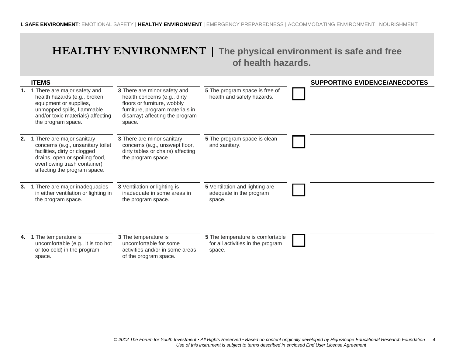### **HEALTHY ENVIRONMENT | The physical environment is safe and free of health hazards.**

|    | <b>ITEMS</b>                                                                                                                                                                                      |                                                                                                                                                                             |                                                                                 | <b>SUPPORTING EVIDENCE/ANECDOTES</b> |
|----|---------------------------------------------------------------------------------------------------------------------------------------------------------------------------------------------------|-----------------------------------------------------------------------------------------------------------------------------------------------------------------------------|---------------------------------------------------------------------------------|--------------------------------------|
|    | 1. 1 There are major safety and<br>health hazards (e.g., broken<br>equipment or supplies,<br>unmopped spills, flammable<br>and/or toxic materials) affecting<br>the program space.                | 3 There are minor safety and<br>health concerns (e.g., dirty<br>floors or furniture, wobbly<br>furniture, program materials in<br>disarray) affecting the program<br>space. | 5 The program space is free of<br>health and safety hazards.                    |                                      |
| 2. | 1 There are major sanitary<br>concerns (e.g., unsanitary toilet<br>facilities, dirty or clogged<br>drains, open or spoiling food,<br>overflowing trash container)<br>affecting the program space. | 3 There are minor sanitary<br>concerns (e.g., unswept floor,<br>dirty tables or chairs) affecting<br>the program space.                                                     | 5 The program space is clean<br>and sanitary.                                   |                                      |
| 3. | 1 There are major inadequacies<br>in either ventilation or lighting in<br>the program space.                                                                                                      | 3 Ventilation or lighting is<br>inadequate in some areas in<br>the program space.                                                                                           | 5 Ventilation and lighting are<br>adequate in the program<br>space.             |                                      |
|    | 4. 1 The temperature is<br>uncomfortable (e.g., it is too hot<br>or too cold) in the program<br>space.                                                                                            | 3 The temperature is<br>uncomfortable for some<br>activities and/or in some areas<br>of the program space.                                                                  | 5 The temperature is comfortable<br>for all activities in the program<br>space. |                                      |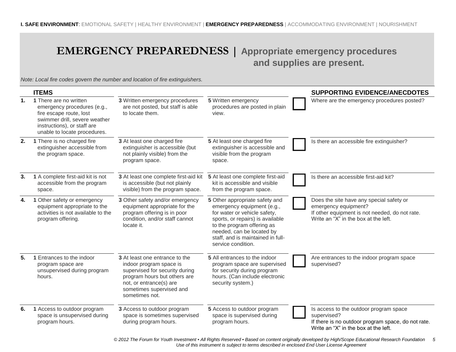## **EMERGENCY PREPAREDNESS | Appropriate emergency procedures**

# **and supplies are present.**

*Note: Local fire codes govern the number and location of fire extinguishers.*

|    | <b>ITEMS</b>                                                                                                                                                                     |                                                                                                                                                                                                      |                                                                                                                                                                                                                                                        | <b>SUPPORTING EVIDENCE/ANECDOTES</b>                                                                                                                       |
|----|----------------------------------------------------------------------------------------------------------------------------------------------------------------------------------|------------------------------------------------------------------------------------------------------------------------------------------------------------------------------------------------------|--------------------------------------------------------------------------------------------------------------------------------------------------------------------------------------------------------------------------------------------------------|------------------------------------------------------------------------------------------------------------------------------------------------------------|
| 1. | 1 There are no written<br>emergency procedures (e.g.,<br>fire escape route, lost<br>swimmer drill, severe weather<br>instructions), or staff are<br>unable to locate procedures. | 3 Written emergency procedures<br>are not posted, but staff is able<br>to locate them.                                                                                                               | 5 Written emergency<br>procedures are posted in plain<br>view.                                                                                                                                                                                         | Where are the emergency procedures posted?                                                                                                                 |
| 2. | 1 There is no charged fire<br>extinguisher accessible from<br>the program space.                                                                                                 | 3 At least one charged fire<br>extinguisher is accessible (but<br>not plainly visible) from the<br>program space.                                                                                    | 5 At least one charged fire<br>extinguisher is accessible and<br>visible from the program<br>space.                                                                                                                                                    | Is there an accessible fire extinguisher?                                                                                                                  |
| 3. | 1 A complete first-aid kit is not<br>accessible from the program<br>space.                                                                                                       | 3 At least one complete first-aid kit<br>is accessible (but not plainly<br>visible) from the program space.                                                                                          | 5 At least one complete first-aid<br>kit is accessible and visible<br>from the program space.                                                                                                                                                          | Is there an accessible first-aid kit?                                                                                                                      |
| 4. | 1 Other safety or emergency<br>equipment appropriate to the<br>activities is not available to the<br>program offering.                                                           | 3 Other safety and/or emergency<br>equipment appropriate for the<br>program offering is in poor<br>condition, and/or staff cannot<br>locate it.                                                      | 5 Other appropriate safety and<br>emergency equipment (e.g.,<br>for water or vehicle safety,<br>sports, or repairs) is available<br>to the program offering as<br>needed, can be located by<br>staff, and is maintained in full-<br>service condition. | Does the site have any special safety or<br>emergency equipment?<br>If other equipment is not needed, do not rate.<br>Write an "X" in the box at the left. |
| 5. | 1 Entrances to the indoor<br>program space are<br>unsupervised during program<br>hours.                                                                                          | 3 At least one entrance to the<br>indoor program space is<br>supervised for security during<br>program hours but others are<br>not, or entrance(s) are<br>sometimes supervised and<br>sometimes not. | 5 All entrances to the indoor<br>program space are supervised<br>for security during program<br>hours. (Can include electronic<br>security system.)                                                                                                    | Are entrances to the indoor program space<br>supervised?                                                                                                   |
| 6. | 1 Access to outdoor program<br>space is unsupervised during<br>program hours.                                                                                                    | 3 Access to outdoor program<br>space is sometimes supervised<br>during program hours.                                                                                                                | 5 Access to outdoor program<br>space is supervised during<br>program hours.                                                                                                                                                                            | Is access to the outdoor program space<br>supervised?<br>If there is no outdoor program space, do not rate.<br>Write an "X" in the box at the left.        |

*© 2012 The Forum for Youth Investment ▪ All Rights Reserved ▪ Based on content originally developed by High/Scope Educational Research Foundation 5 Use of this instrument is subject to terms described in enclosed End User License Agreement*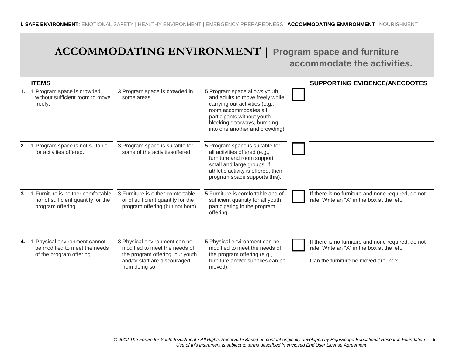## **ACCOMMODATING ENVIRONMENT | Program space and furniture accommodate the activities.**

| $\sim$ g $\sim$ u $\sim$    |  |
|-----------------------------|--|
| accommodate the activities. |  |

|    | <b>ITEMS</b>                                                                                  |                                                                                                                                                     |                                                                                                                                                                                                                           | <b>SUPPORTING EVIDENCE/ANECDOTES</b>                                                                                                   |
|----|-----------------------------------------------------------------------------------------------|-----------------------------------------------------------------------------------------------------------------------------------------------------|---------------------------------------------------------------------------------------------------------------------------------------------------------------------------------------------------------------------------|----------------------------------------------------------------------------------------------------------------------------------------|
| 1. | 1 Program space is crowded,<br>without sufficient room to move<br>freely.                     | 3 Program space is crowded in<br>some areas.                                                                                                        | 5 Program space allows youth<br>and adults to move freely while<br>carrying out activities (e.g.,<br>room accommodates all<br>participants without youth<br>blocking doorways, bumping<br>into one another and crowding). |                                                                                                                                        |
| 2. | 1 Program space is not suitable<br>for activities offered.                                    | 3 Program space is suitable for<br>some of the activities offered.                                                                                  | 5 Program space is suitable for<br>all activities offered (e.g.,<br>furniture and room support<br>small and large groups; if<br>athletic activity is offered, then<br>program space supports this).                       |                                                                                                                                        |
| 3. | 1 Furniture is neither comfortable<br>nor of sufficient quantity for the<br>program offering. | 3 Furniture is either comfortable<br>or of sufficient quantity for the<br>program offering (but not both).                                          | 5 Furniture is comfortable and of<br>sufficient quantity for all youth<br>participating in the program<br>offering.                                                                                                       | If there is no furniture and none required, do not<br>rate. Write an "X" in the box at the left.                                       |
|    | 4. 1 Physical environment cannot<br>be modified to meet the needs<br>of the program offering. | 3 Physical environment can be<br>modified to meet the needs of<br>the program offering, but youth<br>and/or staff are discouraged<br>from doing so. | 5 Physical environment can be<br>modified to meet the needs of<br>the program offering (e.g.,<br>furniture and/or supplies can be<br>moved).                                                                              | If there is no furniture and none required, do not<br>rate. Write an "X" in the box at the left.<br>Can the furniture be moved around? |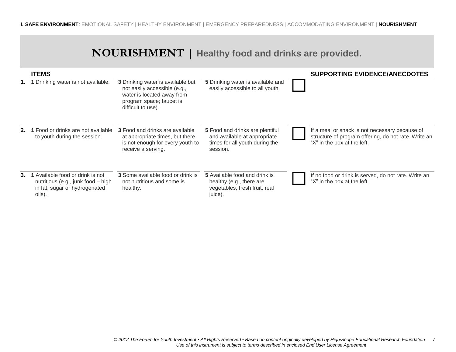## **NOURISHMENT | Healthy food and drinks are provided.**

|    | <b>ITEMS</b>                                                                                                      |                                                                                                                                                          |                                                                                                               | <b>SUPPORTING EVIDENCE/ANECDOTES</b>                                                                                                  |
|----|-------------------------------------------------------------------------------------------------------------------|----------------------------------------------------------------------------------------------------------------------------------------------------------|---------------------------------------------------------------------------------------------------------------|---------------------------------------------------------------------------------------------------------------------------------------|
|    | 1. 1 Drinking water is not available.                                                                             | <b>3</b> Drinking water is available but<br>not easily accessible (e.g.,<br>water is located away from<br>program space; faucet is<br>difficult to use). | 5 Drinking water is available and<br>easily accessible to all youth.                                          |                                                                                                                                       |
|    | 2. 1 Food or drinks are not available<br>to youth during the session.                                             | <b>3</b> Food and drinks are available<br>at appropriate times, but there<br>is not enough for every youth to<br>receive a serving.                      | 5 Food and drinks are plentiful<br>and available at appropriate<br>times for all youth during the<br>session. | If a meal or snack is not necessary because of<br>structure of program offering, do not rate. Write an<br>"X" in the box at the left. |
| 3. | 1 Available food or drink is not<br>nutritious (e.g., junk food – high<br>in fat, sugar or hydrogenated<br>oils). | <b>3</b> Some available food or drink is<br>not nutritious and some is<br>healthy.                                                                       | 5 Available food and drink is<br>healthy (e.g., there are<br>vegetables, fresh fruit, real<br>juice).         | If no food or drink is served, do not rate. Write an<br>"X" in the box at the left.                                                   |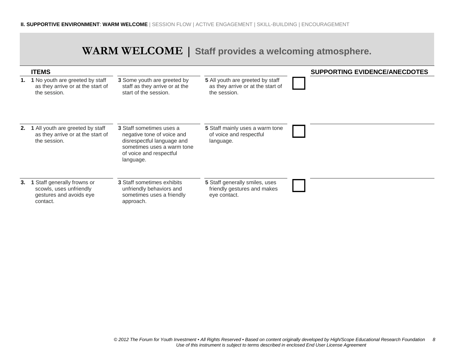|  | WARM WELCOME   Staff provides a welcoming atmosphere. |
|--|-------------------------------------------------------|
|--|-------------------------------------------------------|

|    | <b>ITEMS</b>                                                                                  |                                                                                                                                                                   |                                                                                       | <b>SUPPORTING EVIDENCE/ANECDOTES</b> |
|----|-----------------------------------------------------------------------------------------------|-------------------------------------------------------------------------------------------------------------------------------------------------------------------|---------------------------------------------------------------------------------------|--------------------------------------|
|    | 1. 1 No youth are greeted by staff<br>as they arrive or at the start of<br>the session.       | 3 Some youth are greeted by<br>staff as they arrive or at the<br>start of the session.                                                                            | 5 All youth are greeted by staff<br>as they arrive or at the start of<br>the session. |                                      |
|    | 2. 1 All youth are greeted by staff<br>as they arrive or at the start of<br>the session.      | <b>3</b> Staff sometimes uses a<br>negative tone of voice and<br>disrespectful language and<br>sometimes uses a warm tone<br>of voice and respectful<br>language. | 5 Staff mainly uses a warm tone<br>of voice and respectful<br>language.               |                                      |
| 3. | 1 Staff generally frowns or<br>scowls, uses unfriendly<br>gestures and avoids eye<br>contact. | 3 Staff sometimes exhibits<br>unfriendly behaviors and<br>sometimes uses a friendly<br>approach.                                                                  | 5 Staff generally smiles, uses<br>friendly gestures and makes<br>eye contact.         |                                      |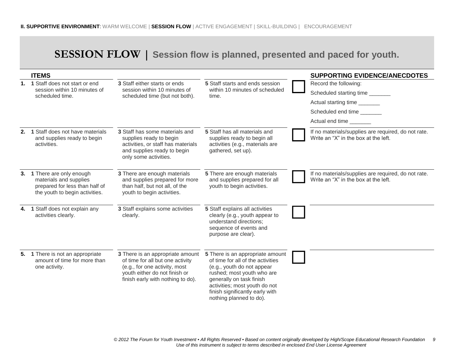## **SESSION FLOW | Session flow is planned, presented and paced for youth.**

|                | <b>ITEMS</b>                                                                                                          |                                                                                                                                                                             |                                                                                                                                                                                                                                                              | <b>SUPPORTING EVIDENCE/ANECDOTES</b>                                                        |
|----------------|-----------------------------------------------------------------------------------------------------------------------|-----------------------------------------------------------------------------------------------------------------------------------------------------------------------------|--------------------------------------------------------------------------------------------------------------------------------------------------------------------------------------------------------------------------------------------------------------|---------------------------------------------------------------------------------------------|
| 1 <sub>1</sub> | 1 Staff does not start or end                                                                                         | 3 Staff either starts or ends                                                                                                                                               | 5 Staff starts and ends session                                                                                                                                                                                                                              | Record the following:                                                                       |
|                | session within 10 minutes of<br>scheduled time.                                                                       | session within 10 minutes of<br>scheduled time (but not both).                                                                                                              | within 10 minutes of scheduled<br>time.                                                                                                                                                                                                                      | Scheduled starting time ________                                                            |
|                |                                                                                                                       |                                                                                                                                                                             |                                                                                                                                                                                                                                                              | Actual starting time _______                                                                |
|                |                                                                                                                       |                                                                                                                                                                             |                                                                                                                                                                                                                                                              | Scheduled end time                                                                          |
|                |                                                                                                                       |                                                                                                                                                                             |                                                                                                                                                                                                                                                              | Actual end time                                                                             |
| 2.             | 1 Staff does not have materials<br>and supplies ready to begin<br>activities.                                         | 3 Staff has some materials and<br>supplies ready to begin<br>activities, or staff has materials<br>and supplies ready to begin<br>only some activities.                     | 5 Staff has all materials and<br>supplies ready to begin all<br>activities (e.g., materials are<br>gathered, set up).                                                                                                                                        | If no materials/supplies are required, do not rate.<br>Write an "X" in the box at the left. |
| 3.             | 1 There are only enough<br>materials and supplies<br>prepared for less than half of<br>the youth to begin activities. | 3 There are enough materials<br>and supplies prepared for more<br>than half, but not all, of the<br>youth to begin activities.                                              | 5 There are enough materials<br>and supplies prepared for all<br>youth to begin activities.                                                                                                                                                                  | If no materials/supplies are required, do not rate.<br>Write an "X" in the box at the left. |
| 4.             | 1 Staff does not explain any<br>activities clearly.                                                                   | 3 Staff explains some activities<br>clearly.                                                                                                                                | 5 Staff explains all activities<br>clearly (e.g., youth appear to<br>understand directions;<br>sequence of events and<br>purpose are clear).                                                                                                                 |                                                                                             |
| 5.             | 1 There is not an appropriate<br>amount of time for more than<br>one activity.                                        | 3 There is an appropriate amount<br>of time for all but one activity<br>(e.g., for one activity, most<br>youth either do not finish or<br>finish early with nothing to do). | 5 There is an appropriate amount<br>of time for all of the activities<br>(e.g., youth do not appear<br>rushed; most youth who are<br>generally on task finish<br>activities; most youth do not<br>finish significantly early with<br>nothing planned to do). |                                                                                             |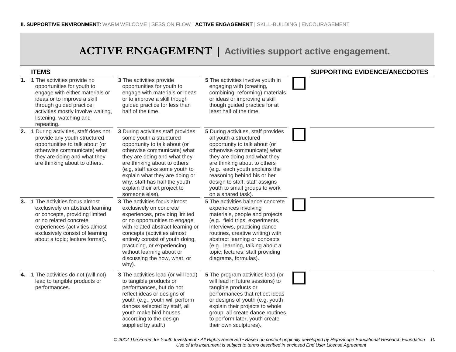## **ACTIVE ENGAGEMENT | Activities support active engagement.**

|    | <b>ITEMS</b>                                                                                                                                                                                                                              |                                                                                                                                                                                                                                                                                                                                                       |                                                                                                                                                                                                                                                                                                                                                         | <b>SUPPORTING EVIDENCE/ANECDOTES</b> |
|----|-------------------------------------------------------------------------------------------------------------------------------------------------------------------------------------------------------------------------------------------|-------------------------------------------------------------------------------------------------------------------------------------------------------------------------------------------------------------------------------------------------------------------------------------------------------------------------------------------------------|---------------------------------------------------------------------------------------------------------------------------------------------------------------------------------------------------------------------------------------------------------------------------------------------------------------------------------------------------------|--------------------------------------|
|    | 1. 1 The activities provide no<br>opportunities for youth to<br>engage with either materials or<br>ideas or to improve a skill<br>through guided practice;<br>activities mostly involve waiting,<br>listening, watching and<br>repeating. | 3 The activities provide<br>opportunities for youth to<br>engage with materials or ideas<br>or to improve a skill though<br>guided practice for less than<br>half of the time.                                                                                                                                                                        | 5 The activities involve youth in<br>engaging with (creating,<br>combining, reforming) materials<br>or ideas or improving a skill<br>though guided practice for at<br>least half of the time.                                                                                                                                                           |                                      |
|    | 2. 1 During activities, staff does not<br>provide any youth structured<br>opportunities to talk about (or<br>otherwise communicate) what<br>they are doing and what they<br>are thinking about to others.                                 | 3 During activities, staff provides<br>some youth a structured<br>opportunity to talk about (or<br>otherwise communicate) what<br>they are doing and what they<br>are thinking about to others<br>(e.g, staff asks some youth to<br>explain what they are doing or<br>why, staff has half the youth<br>explain their art project to<br>someone else). | 5 During activities, staff provides<br>all youth a structured<br>opportunity to talk about (or<br>otherwise communicate) what<br>they are doing and what they<br>are thinking about to others<br>(e.g., each youth explains the<br>reasoning behind his or her<br>design to staff; staff assigns<br>youth to small groups to work<br>on a shared task). |                                      |
| 3. | 1 The activities focus almost<br>exclusively on abstract learning<br>or concepts, providing limited<br>or no related concrete<br>experiences (activities almost<br>exclusively consist of learning<br>about a topic; lecture format).     | <b>3</b> The activities focus almost<br>exclusively on concrete<br>experiences, providing limited<br>or no opportunities to engage<br>with related abstract learning or<br>concepts (activities almost<br>entirely consist of youth doing,<br>practicing, or experiencing,<br>without learning about or<br>discussing the how, what, or<br>why).      | 5 The activities balance concrete<br>experiences involving<br>materials, people and projects<br>(e.g., field trips, experiments,<br>interviews, practicing dance<br>routines, creative writing) with<br>abstract learning or concepts<br>(e.g., learning, talking about a<br>topic; lectures; staff providing<br>diagrams, formulas).                   |                                      |
|    | 4. 1 The activities do not (will not)<br>lead to tangible products or<br>performances.                                                                                                                                                    | 3 The activities lead (or will lead)<br>to tangible products or<br>performances, but do not<br>reflect ideas or designs of<br>youth (e.g., youth will perform<br>dances selected by staff, all<br>youth make bird houses<br>according to the design<br>supplied by staff.)                                                                            | 5 The program activities lead (or<br>will lead in future sessions) to<br>tangible products or<br>performances that reflect ideas<br>or designs of youth (e.g. youth<br>explain their projects to whole<br>group, all create dance routines<br>to perform later, youth create<br>their own sculptures).                                                  |                                      |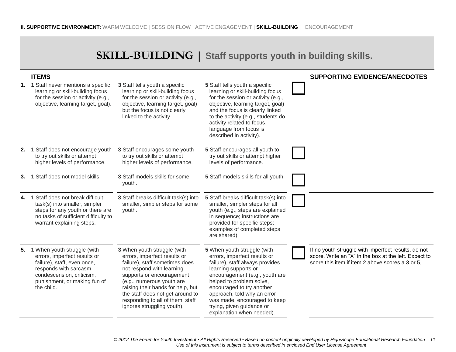## **SKILL-BUILDING | Staff supports youth in building skills.**

|    | <b>ITEMS</b>                                                                                                                                                                                    |                                                                                                                                                                                                                                                                                                                                 |                                                                                                                                                                                                                                                                                                                                            | <b>SUPPORTING EVIDENCE/ANECDOTES</b>                                                                                                                             |
|----|-------------------------------------------------------------------------------------------------------------------------------------------------------------------------------------------------|---------------------------------------------------------------------------------------------------------------------------------------------------------------------------------------------------------------------------------------------------------------------------------------------------------------------------------|--------------------------------------------------------------------------------------------------------------------------------------------------------------------------------------------------------------------------------------------------------------------------------------------------------------------------------------------|------------------------------------------------------------------------------------------------------------------------------------------------------------------|
|    | 1. 1 Staff never mentions a specific<br>learning or skill-building focus<br>for the session or activity (e.g.,<br>objective, learning target, goal).                                            | 3 Staff tells youth a specific<br>learning or skill-building focus<br>for the session or activity (e.g.,<br>objective, learning target, goal)<br>but the focus is not clearly<br>linked to the activity.                                                                                                                        | 5 Staff tells youth a specific<br>learning or skill-building focus<br>for the session or activity (e.g.,<br>objective, learning target, goal)<br>and the focus is clearly linked<br>to the activity (e.g., students do<br>activity related to focus,<br>language from focus is<br>described in activity).                                  |                                                                                                                                                                  |
|    | 2. 1 Staff does not encourage youth<br>to try out skills or attempt<br>higher levels of performance.                                                                                            | 3 Staff encourages some youth<br>to try out skills or attempt<br>higher levels of performance.                                                                                                                                                                                                                                  | 5 Staff encourages all youth to<br>try out skills or attempt higher<br>levels of performance.                                                                                                                                                                                                                                              |                                                                                                                                                                  |
| 3. | 1 Staff does not model skills.                                                                                                                                                                  | 3 Staff models skills for some<br>youth.                                                                                                                                                                                                                                                                                        | 5 Staff models skills for all youth.                                                                                                                                                                                                                                                                                                       |                                                                                                                                                                  |
| 4. | 1 Staff does not break difficult<br>task(s) into smaller, simpler<br>steps for any youth or there are<br>no tasks of sufficient difficulty to<br>warrant explaining steps.                      | 3 Staff breaks difficult task(s) into<br>smaller, simpler steps for some<br>youth.                                                                                                                                                                                                                                              | 5 Staff breaks difficult task(s) into<br>smaller, simpler steps for all<br>youth (e.g., steps are explained<br>in sequence; instructions are<br>provided for specific steps;<br>examples of completed steps<br>are shared).                                                                                                                |                                                                                                                                                                  |
| 5. | 1 When youth struggle (with<br>errors, imperfect results or<br>failure), staff, even once,<br>responds with sarcasm,<br>condescension, criticism,<br>punishment, or making fun of<br>the child. | 3 When youth struggle (with<br>errors, imperfect results or<br>failure), staff sometimes does<br>not respond with learning<br>supports or encouragement<br>(e.g., numerous youth are<br>raising their hands for help, but<br>the staff does not get around to<br>responding to all of them; staff<br>ignores struggling youth). | 5 When youth struggle (with<br>errors, imperfect results or<br>failure), staff always provides<br>learning supports or<br>encouragement (e.g., youth are<br>helped to problem solve,<br>encouraged to try another<br>approach, told why an error<br>was made, encouraged to keep<br>trying, given guidance or<br>explanation when needed). | If no youth struggle with imperfect results, do not<br>score. Write an "X" in the box at the left. Expect to<br>score this item if item 2 above scores a 3 or 5, |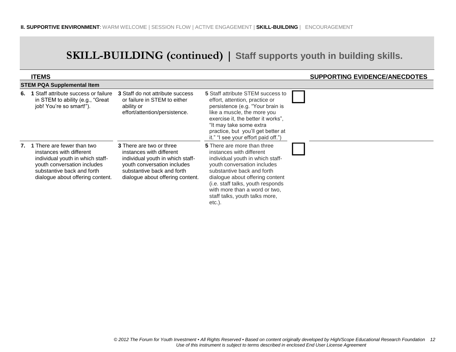## **SKILL-BUILDING (continued) | Staff supports youth in building skills.**

| <b>ITEMS</b>                                                                                                                                                                                   |                                                                                                                                                                                                  |                                                                                                                                                                                                                                                                                                                         | <b>SUPPORTING EVIDENCE/ANECDOTES</b> |
|------------------------------------------------------------------------------------------------------------------------------------------------------------------------------------------------|--------------------------------------------------------------------------------------------------------------------------------------------------------------------------------------------------|-------------------------------------------------------------------------------------------------------------------------------------------------------------------------------------------------------------------------------------------------------------------------------------------------------------------------|--------------------------------------|
| <b>STEM PQA Supplemental Item</b>                                                                                                                                                              |                                                                                                                                                                                                  |                                                                                                                                                                                                                                                                                                                         |                                      |
| 6. 1 Staff attribute success or failure<br>in STEM to ability (e.g., "Great<br>job! You're so smart!").                                                                                        | <b>3</b> Staff do not attribute success<br>or failure in STEM to either<br>ability or<br>effort/attention/persistence.                                                                           | <b>5</b> Staff attribute STEM success to<br>effort, attention, practice or<br>persistence (e.g. "Your brain is<br>like a muscle, the more you<br>exercise it, the better it works",<br>"It may take some extra<br>practice, but you'll get better at<br>it." "I see your effort paid off.")                             |                                      |
| 7. 1 There are fewer than two<br>instances with different<br>individual youth in which staff-<br>youth conversation includes<br>substantive back and forth<br>dialogue about offering content. | <b>3</b> There are two or three<br>instances with different<br>individual youth in which staff-<br>youth conversation includes<br>substantive back and forth<br>dialogue about offering content. | <b>5</b> There are more than three<br>instances with different<br>individual youth in which staff-<br>youth conversation includes<br>substantive back and forth<br>dialogue about offering content<br>(i.e. staff talks, youth responds<br>with more than a word or two,<br>staff talks, youth talks more,<br>$etc.$ ). |                                      |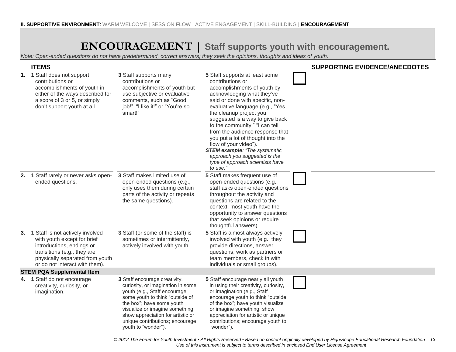## **ENCOURAGEMENT | Staff supports youth with encouragement.**

*Note: Open-ended questions do not have predetermined, correct answers; they seek the opinions, thoughts and ideas of youth.*

| <b>ITEMS</b>                                                                                                                                                                                        |                                                                                                                                                                                                                                                                                                      |                                                                                                                                                                                                                                                                                                                                                                                                                                                                                                                   | <b>SUPPORTING EVIDENCE/ANECDOTES</b> |
|-----------------------------------------------------------------------------------------------------------------------------------------------------------------------------------------------------|------------------------------------------------------------------------------------------------------------------------------------------------------------------------------------------------------------------------------------------------------------------------------------------------------|-------------------------------------------------------------------------------------------------------------------------------------------------------------------------------------------------------------------------------------------------------------------------------------------------------------------------------------------------------------------------------------------------------------------------------------------------------------------------------------------------------------------|--------------------------------------|
| 1. 1 Staff does not support<br>contributions or<br>accomplishments of youth in<br>either of the ways described for<br>a score of 3 or 5, or simply<br>don't support youth at all.                   | 3 Staff supports many<br>contributions or<br>accomplishments of youth but<br>use subjective or evaluative<br>comments, such as "Good<br>job!", "I like it!" or "You're so<br>smart!"                                                                                                                 | 5 Staff supports at least some<br>contributions or<br>accomplishments of youth by<br>acknowledging what they've<br>said or done with specific, non-<br>evaluative language (e.g., "Yes,<br>the cleanup project you<br>suggested is a way to give back<br>to the community," "I can tell<br>from the audience response that<br>you put a lot of thought into the<br>flow of your video").<br><b>STEM example: "The systematic</b><br>approach you suggested is the<br>type of approach scientists have<br>to use." |                                      |
| 2. 1 Staff rarely or never asks open-<br>ended questions.                                                                                                                                           | 3 Staff makes limited use of<br>open-ended questions (e.g.,<br>only uses them during certain<br>parts of the activity or repeats<br>the same questions).                                                                                                                                             | 5 Staff makes frequent use of<br>open-ended questions (e.g.,<br>staff asks open-ended questions<br>throughout the activity and<br>questions are related to the<br>context, most youth have the<br>opportunity to answer questions<br>that seek opinions or require<br>thoughtful answers).                                                                                                                                                                                                                        |                                      |
| 3. 1 Staff is not actively involved<br>with youth except for brief<br>introductions, endings or<br>transitions (e.g., they are<br>physically separated from youth<br>or do not interact with them). | 3 Staff (or some of the staff) is<br>sometimes or intermittently,<br>actively involved with youth.                                                                                                                                                                                                   | 5 Staff is almost always actively<br>involved with youth (e.g., they<br>provide directions, answer<br>questions, work as partners or<br>team members, check in with<br>individuals or small groups).                                                                                                                                                                                                                                                                                                              |                                      |
| <b>STEM PQA Supplemental Item</b>                                                                                                                                                                   |                                                                                                                                                                                                                                                                                                      |                                                                                                                                                                                                                                                                                                                                                                                                                                                                                                                   |                                      |
| 4. 1 Staff do not encourage<br>creativity, curiosity, or<br>imagination.                                                                                                                            | 3 Staff encourage creativity,<br>curiosity, or imagination in some<br>youth (e.g., Staff encourage<br>some youth to think "outside of<br>the box"; have some youth<br>visualize or imagine something;<br>show appreciation for artistic or<br>unique contributions; encourage<br>youth to "wonder"). | 5 Staff encourage nearly all youth<br>in using their creativity, curiosity,<br>or imagination (e.g., Staff<br>encourage youth to think "outside<br>of the box"; have youth visualize<br>or imagine something; show<br>appreciation for artistic or unique<br>contributions; encourage youth to<br>"wonder").                                                                                                                                                                                                      |                                      |

*© 2012 The Forum for Youth Investment ▪ All Rights Reserved ▪ Based on content originally developed by High/Scope Educational Research Foundation 13 Use of this instrument is subject to terms described in enclosed End User License Agreement*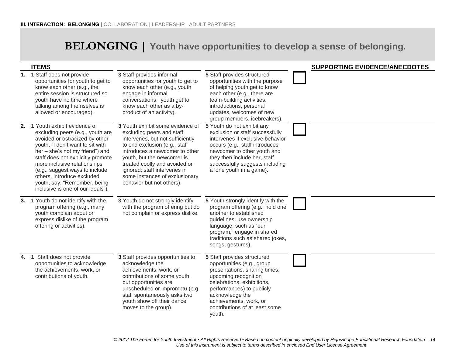## **BELONGING | Youth have opportunities to develop a sense of belonging.**

| <b>ITEMS</b>                                                                                                                                                                                                                                                                                                                                                                          |                                                                                                                                                                                                                                                                                                                                    |                                                                                                                                                                                                                                                                        | <b>SUPPORTING EVIDENCE/ANECDOTES</b> |
|---------------------------------------------------------------------------------------------------------------------------------------------------------------------------------------------------------------------------------------------------------------------------------------------------------------------------------------------------------------------------------------|------------------------------------------------------------------------------------------------------------------------------------------------------------------------------------------------------------------------------------------------------------------------------------------------------------------------------------|------------------------------------------------------------------------------------------------------------------------------------------------------------------------------------------------------------------------------------------------------------------------|--------------------------------------|
| 1. 1 Staff does not provide<br>opportunities for youth to get to<br>know each other (e.g., the<br>entire session is structured so<br>vouth have no time where<br>talking among themselves is<br>allowed or encouraged).                                                                                                                                                               | 3 Staff provides informal<br>opportunities for youth to get to<br>know each other (e.g., youth<br>engage in informal<br>conversations, youth get to<br>know each other as a by-<br>product of an activity).                                                                                                                        | 5 Staff provides structured<br>opportunities with the purpose<br>of helping youth get to know<br>each other (e.g., there are<br>team-building activities,<br>introductions, personal<br>updates, welcomes of new<br>group members, icebreakers).                       |                                      |
| 2. 1 Youth exhibit evidence of<br>excluding peers (e.g., youth are<br>avoided or ostracized by other<br>youth, "I don't want to sit with<br>her - she's not my friend") and<br>staff does not explicitly promote<br>more inclusive relationships<br>(e.g., suggest ways to include<br>others, introduce excluded<br>youth, say, "Remember, being<br>inclusive is one of our ideals"). | 3 Youth exhibit some evidence of<br>excluding peers and staff<br>intervenes, but not sufficiently<br>to end exclusion (e.g., staff<br>introduces a newcomer to other<br>youth, but the newcomer is<br>treated coolly and avoided or<br>ignored; staff intervenes in<br>some instances of exclusionary<br>behavior but not others). | 5 Youth do not exhibit any<br>exclusion or staff successfully<br>intervenes if exclusive behavior<br>occurs (e.g., staff introduces<br>newcomer to other youth and<br>they then include her, staff<br>successfully suggests including<br>a lone youth in a game).      |                                      |
| 3. 1 Youth do not identify with the<br>program offering (e.g., many<br>youth complain about or<br>express dislike of the program<br>offering or activities).                                                                                                                                                                                                                          | 3 Youth do not strongly identify<br>with the program offering but do<br>not complain or express dislike.                                                                                                                                                                                                                           | 5 Youth strongly identify with the<br>program offering (e.g., hold one<br>another to established<br>guidelines, use ownership<br>language, such as "our<br>program," engage in shared<br>traditions such as shared jokes,<br>songs, gestures).                         |                                      |
| 4. 1 Staff does not provide<br>opportunities to acknowledge<br>the achievements, work, or<br>contributions of youth.                                                                                                                                                                                                                                                                  | 3 Staff provides opportunities to<br>acknowledge the<br>achievements, work, or<br>contributions of some youth,<br>but opportunities are<br>unscheduled or impromptu (e.g.<br>staff spontaneously asks two<br>youth show off their dance<br>moves to the group).                                                                    | 5 Staff provides structured<br>opportunities (e.g., group<br>presentations, sharing times,<br>upcoming recognition<br>celebrations, exhibitions,<br>performances) to publicly<br>acknowledge the<br>achievements, work, or<br>contributions of at least some<br>youth. |                                      |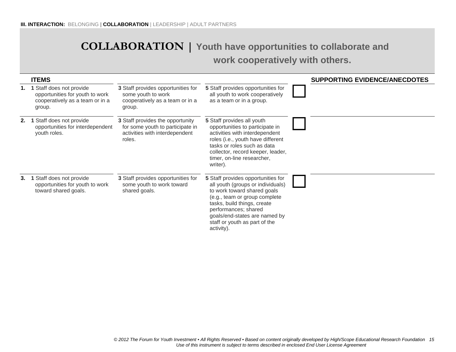## **COLLABORATION | Youth have opportunities to collaborate and work cooperatively with others.**

|    | <b>ITEMS</b>                                                                                           |                                                                                                                  |                                                                                                                                                                                                                                                                                | <b>SUPPORTING EVIDENCE/ANECDOTES</b> |
|----|--------------------------------------------------------------------------------------------------------|------------------------------------------------------------------------------------------------------------------|--------------------------------------------------------------------------------------------------------------------------------------------------------------------------------------------------------------------------------------------------------------------------------|--------------------------------------|
| 1. | Staff does not provide<br>opportunities for youth to work<br>cooperatively as a team or in a<br>group. | 3 Staff provides opportunities for<br>some youth to work<br>cooperatively as a team or in a<br>group.            | 5 Staff provides opportunities for<br>all youth to work cooperatively<br>as a team or in a group.                                                                                                                                                                              |                                      |
| 2. | Staff does not provide<br>opportunities for interdependent<br>youth roles.                             | 3 Staff provides the opportunity<br>for some youth to participate in<br>activities with interdependent<br>roles. | 5 Staff provides all youth<br>opportunities to participate in<br>activities with interdependent<br>roles (i.e., youth have different<br>tasks or roles such as data<br>collector, record keeper, leader,<br>timer, on-line researcher,<br>writer).                             |                                      |
| 3. | Staff does not provide<br>opportunities for youth to work<br>toward shared goals.                      | 3 Staff provides opportunities for<br>some youth to work toward<br>shared goals.                                 | 5 Staff provides opportunities for<br>all youth (groups or individuals)<br>to work toward shared goals<br>(e.g., team or group complete<br>tasks, build things, create<br>performances; shared<br>goals/end-states are named by<br>staff or youth as part of the<br>activity). |                                      |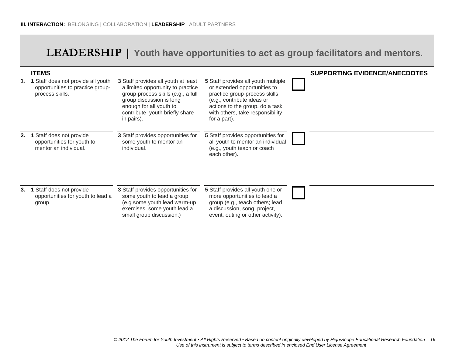## **LEADERSHIP | Youth have opportunities to act as group facilitators and mentors.**

|      | <b>ITEMS</b>                                                                            |                                                                                                                                                                                                                        |                                                                                                                                                                                                                           | <b>SUPPORTING EVIDENCE/ANECDOTES</b> |
|------|-----------------------------------------------------------------------------------------|------------------------------------------------------------------------------------------------------------------------------------------------------------------------------------------------------------------------|---------------------------------------------------------------------------------------------------------------------------------------------------------------------------------------------------------------------------|--------------------------------------|
| 1.   | Staff does not provide all youth<br>opportunities to practice group-<br>process skills. | 3 Staff provides all youth at least<br>a limited opportunity to practice<br>group-process skills (e.g., a full<br>group discussion is long<br>enough for all youth to<br>contribute, youth briefly share<br>in pairs). | 5 Staff provides all youth multiple<br>or extended opportunities to<br>practice group-process skills<br>(e.g., contribute ideas or<br>actions to the group, do a task<br>with others, take responsibility<br>for a part). |                                      |
| 2.   | Staff does not provide<br>opportunities for youth to<br>mentor an individual.           | 3 Staff provides opportunities for<br>some youth to mentor an<br>individual.                                                                                                                                           | 5 Staff provides opportunities for<br>all youth to mentor an individual<br>(e.g., youth teach or coach<br>each other).                                                                                                    |                                      |
| 3. 1 | Staff does not provide<br>opportunities for youth to lead a<br>group.                   | 3 Staff provides opportunities for<br>some youth to lead a group<br>(e.g some youth lead warm-up<br>exercises, some youth lead a<br>small group discussion.)                                                           | 5 Staff provides all youth one or<br>more opportunities to lead a<br>group (e.g., teach others; lead<br>a discussion, song, project,<br>event, outing or other activity).                                                 |                                      |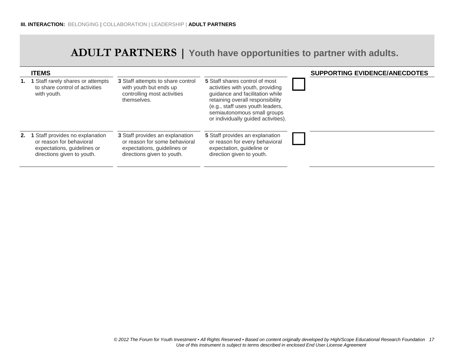## **ADULT PARTNERS | Youth have opportunities to partner with adults.**

|      | <b>ITEMS</b>                                                                                                           |                                                                                                                               |                                                                                                                                                                                                                                                     | <b>SUPPORTING EVIDENCE/ANECDOTES</b> |
|------|------------------------------------------------------------------------------------------------------------------------|-------------------------------------------------------------------------------------------------------------------------------|-----------------------------------------------------------------------------------------------------------------------------------------------------------------------------------------------------------------------------------------------------|--------------------------------------|
|      | Staff rarely shares or attempts<br>to share control of activities<br>with youth.                                       | 3 Staff attempts to share control<br>with youth but ends up<br>controlling most activities<br>themselves.                     | 5 Staff shares control of most<br>activities with youth, providing<br>guidance and facilitation while<br>retaining overall responsibility<br>(e.g., staff uses youth leaders,<br>semiautonomous small groups<br>or individually guided activities). |                                      |
| 2. 1 | Staff provides no explanation<br>or reason for behavioral<br>expectations, guidelines or<br>directions given to youth. | 3 Staff provides an explanation<br>or reason for some behavioral<br>expectations, guidelines or<br>directions given to youth. | 5 Staff provides an explanation<br>or reason for every behavioral<br>expectation, guideline or<br>direction given to youth.                                                                                                                         |                                      |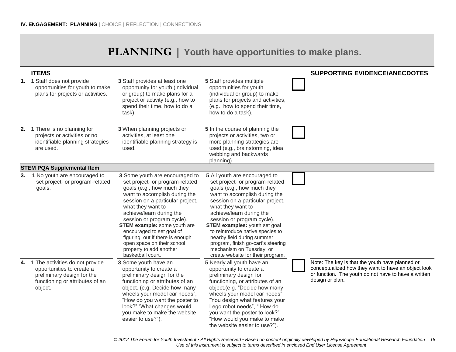## **PLANNING | Youth have opportunities to make plans.**

|    | <b>ITEMS</b>                                                                                                                                |                                                                                                                                                                                                                                                                                                                                                                                                                                          |                                                                                                                                                                                                                                                                                                                                                                                                                                                                     | <b>SUPPORTING EVIDENCE/ANECDOTES</b>                                                                                                                                              |
|----|---------------------------------------------------------------------------------------------------------------------------------------------|------------------------------------------------------------------------------------------------------------------------------------------------------------------------------------------------------------------------------------------------------------------------------------------------------------------------------------------------------------------------------------------------------------------------------------------|---------------------------------------------------------------------------------------------------------------------------------------------------------------------------------------------------------------------------------------------------------------------------------------------------------------------------------------------------------------------------------------------------------------------------------------------------------------------|-----------------------------------------------------------------------------------------------------------------------------------------------------------------------------------|
|    | 1. 1 Staff does not provide<br>opportunities for youth to make<br>plans for projects or activities.                                         | 3 Staff provides at least one<br>opportunity for youth (individual<br>or group) to make plans for a<br>project or activity (e.g., how to<br>spend their time, how to do a<br>task).                                                                                                                                                                                                                                                      | 5 Staff provides multiple<br>opportunities for youth<br>(individual or group) to make<br>plans for projects and activities,<br>(e.g., how to spend their time,<br>how to do a task).                                                                                                                                                                                                                                                                                |                                                                                                                                                                                   |
|    | 2. 1 There is no planning for<br>projects or activities or no<br>identifiable planning strategies<br>are used.                              | 3 When planning projects or<br>activities, at least one<br>identifiable planning strategy is<br>used.                                                                                                                                                                                                                                                                                                                                    | 5 In the course of planning the<br>projects or activities, two or<br>more planning strategies are<br>used (e.g., brainstorming, idea<br>webbing and backwards<br>planning).                                                                                                                                                                                                                                                                                         |                                                                                                                                                                                   |
|    | <b>STEM PQA Supplemental Item</b>                                                                                                           |                                                                                                                                                                                                                                                                                                                                                                                                                                          |                                                                                                                                                                                                                                                                                                                                                                                                                                                                     |                                                                                                                                                                                   |
| 3. | 1 No youth are encouraged to<br>set project- or program-related<br>goals.                                                                   | 3 Some youth are encouraged to<br>set project- or program-related<br>goals (e.g., how much they<br>want to accomplish during the<br>session on a particular project,<br>what they want to<br>achieve/learn during the<br>session or program cycle).<br><b>STEM example:</b> some youth are<br>encouraged to set goal of<br>figuring out if there is enough<br>open space on their school<br>property to add another<br>basketball court. | 5 All youth are encouraged to<br>set project- or program-related<br>goals (e.g., how much they<br>want to accomplish during the<br>session on a particular project,<br>what they want to<br>achieve/learn during the<br>session or program cycle).<br><b>STEM examples:</b> youth set goal<br>to reintroduce native species to<br>nearby field during summer<br>program, finish go-cart's steering<br>mechanism on Tuesday, or<br>create website for their program. |                                                                                                                                                                                   |
|    | 4. 1 The activities do not provide<br>opportunities to create a<br>preliminary design for the<br>functioning or attributes of an<br>object. | 3 Some youth have an<br>opportunity to create a<br>preliminary design for the<br>functioning or attributes of an<br>object. (e.g. Decide how many<br>wheels your model car needs",<br>"How do you want the poster to<br>look?" "What changes would<br>you make to make the website<br>easier to use?").                                                                                                                                  | 5 Nearly all youth have an<br>opportunity to create a<br>preliminary design for<br>functioning, or attributes of an<br>object.(e.g. "Decide how many<br>wheels your model car needs"<br>"You design what features your<br>Lego robot needs", "How do<br>you want the poster to look?"<br>"How would you make to make<br>the website easier to use?").                                                                                                               | Note: The key is that the youth have planned or<br>conceptualized how they want to have an object look<br>or function. The youth do not have to have a written<br>design or plan. |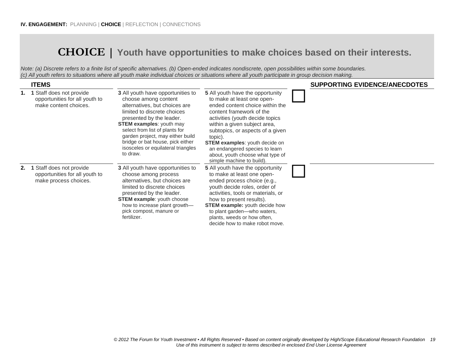## **CHOICE | Youth have opportunities to make choices based on their interests.**

*Note: (a) Discrete refers to a finite list of specific alternatives. (b) Open-ended indicates nondiscrete, open possibilities within some boundaries. (c) All youth refers to situations where all youth make individual choices or situations where all youth participate in group decision making.*

|    | <b>ITEMS</b>                                                                                  |                                                                                                                                                                                                                                                                                                                                                      |                                                                                                                                                                                                                                                                                                                                                                                                    | <b>SUPPORTING EVIDENCE/ANECDOTES</b> |
|----|-----------------------------------------------------------------------------------------------|------------------------------------------------------------------------------------------------------------------------------------------------------------------------------------------------------------------------------------------------------------------------------------------------------------------------------------------------------|----------------------------------------------------------------------------------------------------------------------------------------------------------------------------------------------------------------------------------------------------------------------------------------------------------------------------------------------------------------------------------------------------|--------------------------------------|
|    | <b>1.</b> 1 Staff does not provide<br>opportunities for all youth to<br>make content choices. | 3 All youth have opportunities to<br>choose among content<br>alternatives, but choices are<br>limited to discrete choices<br>presented by the leader.<br><b>STEM examples: youth may</b><br>select from list of plants for<br>garden project, may either build<br>bridge or bat house, pick either<br>isosceles or equilateral triangles<br>to draw. | <b>5</b> All youth have the opportunity<br>to make at least one open-<br>ended content choice within the<br>content framework of the<br>activities (youth decide topics<br>within a given subject area,<br>subtopics, or aspects of a given<br>topic).<br><b>STEM examples:</b> youth decide on<br>an endangered species to learn<br>about, youth choose what type of<br>simple machine to build). |                                      |
| 2. | 1 Staff does not provide<br>opportunities for all youth to<br>make process choices.           | 3 All youth have opportunities to<br>choose among process<br>alternatives, but choices are<br>limited to discrete choices<br>presented by the leader.<br><b>STEM example:</b> youth choose<br>how to increase plant growth-<br>pick compost, manure or<br>fertilizer.                                                                                | 5 All youth have the opportunity<br>to make at least one open-<br>ended process choice (e.g.,<br>youth decide roles, order of<br>activities, tools or materials, or<br>how to present results).<br><b>STEM example:</b> youth decide how<br>to plant garden-who waters,<br>plants, weeds or how often,<br>decide how to make robot move.                                                           |                                      |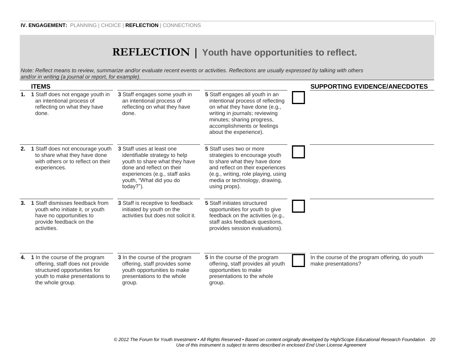## **REFLECTION | Youth have opportunities to reflect.**

*Note: Reflect means to review, summarize and/or evaluate recent events or activities. Reflections are usually expressed by talking with others and/or in writing (a journal or report, for example).*

|    | <b>ITEMS</b>                                                                                                                                             |                                                                                                                                                                                                   |                                                                                                                                                                                                                                | <b>SUPPORTING EVIDENCE/ANECDOTES</b>                                   |
|----|----------------------------------------------------------------------------------------------------------------------------------------------------------|---------------------------------------------------------------------------------------------------------------------------------------------------------------------------------------------------|--------------------------------------------------------------------------------------------------------------------------------------------------------------------------------------------------------------------------------|------------------------------------------------------------------------|
| 1. | 1 Staff does not engage youth in<br>an intentional process of<br>reflecting on what they have<br>done.                                                   | 3 Staff engages some youth in<br>an intentional process of<br>reflecting on what they have<br>done.                                                                                               | 5 Staff engages all youth in an<br>intentional process of reflecting<br>on what they have done (e.g.,<br>writing in journals; reviewing<br>minutes; sharing progress,<br>accomplishments or feelings<br>about the experience). |                                                                        |
| 2. | 1 Staff does not encourage youth<br>to share what they have done<br>with others or to reflect on their<br>experiences.                                   | 3 Staff uses at least one<br>identifiable strategy to help<br>youth to share what they have<br>done and reflect on their<br>experiences (e.g., staff asks<br>youth, "What did you do<br>today?"). | 5 Staff uses two or more<br>strategies to encourage youth<br>to share what they have done<br>and reflect on their experiences<br>(e.g., writing, role playing, using<br>media or technology, drawing,<br>using props).         |                                                                        |
| 3. | 1 Staff dismisses feedback from<br>youth who initiate it, or youth<br>have no opportunities to<br>provide feedback on the<br>activities.                 | 3 Staff is receptive to feedback<br>initiated by youth on the<br>activities but does not solicit it.                                                                                              | 5 Staff initiates structured<br>opportunities for youth to give<br>feedback on the activities (e.g.,<br>staff asks feedback questions,<br>provides session evaluations).                                                       |                                                                        |
| 4. | 1 In the course of the program<br>offering, staff does not provide<br>structured opportunities for<br>youth to make presentations to<br>the whole group. | 3 In the course of the program<br>offering, staff provides some<br>youth opportunities to make<br>presentations to the whole<br>group.                                                            | 5 In the course of the program<br>offering, staff provides all youth<br>opportunities to make<br>presentations to the whole<br>group.                                                                                          | In the course of the program offering, do youth<br>make presentations? |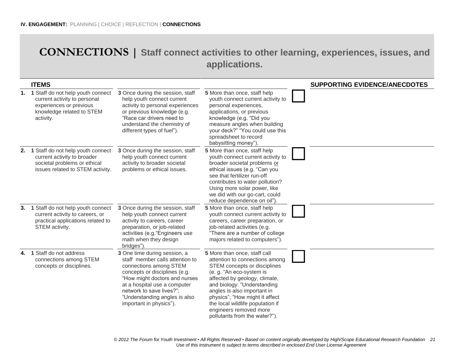## **CONNECTIONS | Staff connect activities to other learning, experiences, issues, and applications.**

|    | <b>ITEMS</b>                                                                                                                           |                                                                                                                                                                                                                                                                                     |                                                                                                                                                                                                                                                                                                                                                            | <b>SUPPORTING EVIDENCE/ANECDOTES</b> |
|----|----------------------------------------------------------------------------------------------------------------------------------------|-------------------------------------------------------------------------------------------------------------------------------------------------------------------------------------------------------------------------------------------------------------------------------------|------------------------------------------------------------------------------------------------------------------------------------------------------------------------------------------------------------------------------------------------------------------------------------------------------------------------------------------------------------|--------------------------------------|
|    | 1 Staff do not help youth connect<br>current activity to personal<br>experiences or previous<br>knowledge related to STEM<br>activity. | 3 Once during the session, staff<br>help youth connect current<br>activity to personal experiences<br>or previous knowledge (e.g.<br>"Race car drivers need to<br>understand the chemistry of<br>different types of fuel").                                                         | 5 More than once, staff help<br>youth connect current activity to<br>personal experiences,<br>applications, or previous<br>knowledge (e.g. "Did you<br>measure angles when building<br>your deck?" "You could use this<br>spreadsheet to record<br>babysitting money")                                                                                     |                                      |
| 2. | 1 Staff do not help youth connect<br>current activity to broader<br>societal problems or ethical<br>issues related to STEM activity.   | 3 Once during the session, staff<br>help youth connect current<br>activity to broader societal<br>problems or ethical issues.                                                                                                                                                       | 5 More than once, staff help<br>youth connect current activity to<br>broader societal problems or<br>ethical issues (e.g. "Can you<br>see that fertilizer run-off<br>contributes to water pollution?<br>Using more solar power, like<br>we did with our go-cart, could<br>reduce dependence on oil").                                                      |                                      |
| 3. | 1 Staff do not help youth connect<br>current activity to careers, or<br>practical applications related to<br>STEM activity.            | 3 Once during the session, staff<br>help youth connect current<br>activity to careers, career<br>preparation, or job-related<br>activities (e.g. "Engineers use<br>math when they design<br>bridges").                                                                              | 5 More than once, staff help<br>youth connect current activity to<br>careers, career preparation, or<br>job-related activities (e.g.<br>"There are a number of college<br>majors related to computers").                                                                                                                                                   |                                      |
|    | 4. 1 Staff do not address<br>connections among STEM<br>concepts or disciplines.                                                        | 3 One time during session, a<br>staff member calls attention to<br>connections among STEM<br>concepts or disciplines (e.g.<br>"How might doctors and nurses<br>at a hospital use a computer<br>network to save lives?";<br>"Understanding angles is also<br>important in physics"). | 5 More than once, staff call<br>attention to connections among<br>STEM concepts or disciplines<br>(e. g. "An eco-system is<br>affected by geology, climate,<br>and biology: "Understanding<br>angles is also important in<br>physics"; "How might it affect<br>the local wildlife population if<br>engineers removed more<br>pollutants from the water?"). |                                      |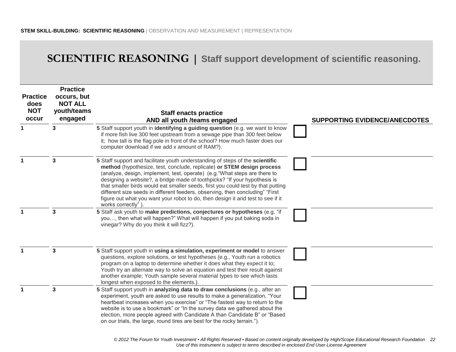## **SCIENTIFIC REASONING | Staff support development of scientific reasoning.**

| <b>Practice</b><br>does<br><b>NOT</b><br>occur | <b>Practice</b><br>occurs, but<br><b>NOT ALL</b><br>youth/teams<br>engaged | <b>Staff enacts practice</b><br>AND all youth /teams engaged                                                                                                                                                                                                                                                                                                                                                                                                                                                                                                                                    | <b>SUPPORTING EVIDENCE/ANECDOTES</b> |
|------------------------------------------------|----------------------------------------------------------------------------|-------------------------------------------------------------------------------------------------------------------------------------------------------------------------------------------------------------------------------------------------------------------------------------------------------------------------------------------------------------------------------------------------------------------------------------------------------------------------------------------------------------------------------------------------------------------------------------------------|--------------------------------------|
|                                                | 3                                                                          | 5 Staff support youth in identifying a guiding question (e.g. we want to know<br>if more fish live 300 feet upstream from a sewage pipe than 300 feet below<br>it; how tall is the flag pole in front of the school? How much faster does our<br>computer download if we add x amount of RAM?).                                                                                                                                                                                                                                                                                                 |                                      |
|                                                | 3                                                                          | 5 Staff support and facilitate youth understanding of steps of the scientific<br>method (hypothesize, test, conclude, replicate) or STEM design process<br>(analyze, design, implement, test, operate) (e.g. "What steps are there to<br>designing a website?, a bridge made of toothpicks? "If your hypothesis is<br>that smaller birds would eat smaller seeds, first you could test by that putting<br>different size seeds in different feeders, observing, then concluding" "First<br>figure out what you want your robot to do, then design it and test to see if it<br>works correctly") |                                      |
|                                                | 3                                                                          | 5 Staff ask youth to make predictions, conjectures or hypotheses (e.g. "if<br>you, then what will happen?" What will happen if you put baking soda in<br>vinegar? Why do you think it will fizz?).                                                                                                                                                                                                                                                                                                                                                                                              |                                      |
|                                                | $\mathbf{3}$                                                               | 5 Staff support youth in using a simulation, experiment or model to answer<br>questions, explore solutions, or test hypotheses (e.g., Youth run a robotics<br>program on a laptop to determine whether it does what they expect it to;<br>Youth try an alternate way to solve an equation and test their result against<br>another example; Youth sample several material types to see which lasts<br>longest when exposed to the elements.)                                                                                                                                                    |                                      |
|                                                | $\mathbf{3}$                                                               | 5 Staff support youth in analyzing data to draw conclusions (e.g., after an<br>experiment, youth are asked to use results to make a generalization, "Your<br>heartbeat increases when you exercise" or "The fastest way to return to the<br>website is to use a bookmark" or "In the survey data we gathered about the<br>election, more people agreed with Candidate A than Candidate B" or "Based<br>on our trials, the large, round tires are best for the rocky terrain.").                                                                                                                 |                                      |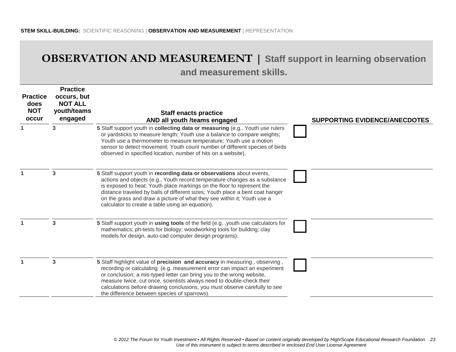## **OBSERVATION AND MEASUREMENT | Staff support in learning observation and measurement skills.**

| <b>Practice</b><br>does<br><b>NOT</b><br>occur | <b>Practice</b><br>occurs, but<br><b>NOT ALL</b><br>youth/teams<br>engaged | <b>Staff enacts practice</b><br>AND all youth /teams engaged                                                                                                                                                                                                                                                                                                                                                                                  | <b>SUPPORTING EVIDENCE/ANECDOTES</b> |
|------------------------------------------------|----------------------------------------------------------------------------|-----------------------------------------------------------------------------------------------------------------------------------------------------------------------------------------------------------------------------------------------------------------------------------------------------------------------------------------------------------------------------------------------------------------------------------------------|--------------------------------------|
|                                                | 3                                                                          | 5 Staff support youth in collecting data or measuring (e.g., Youth use rulers<br>or yardsticks to measure length; Youth use a balance to compare weights;<br>Youth use a thermometer to measure temperature; Youth use a motion<br>sensor to detect movement; Youth count number of different species of birds<br>observed in specified location, number of hits on a website).                                                               |                                      |
|                                                | 3                                                                          | 5 Staff support youth in recording data or observations about events,<br>actions and objects (e.g., Youth record temperature changes as a substance<br>is exposed to heat; Youth place markings on the floor to represent the<br>distance traveled by balls of different sizes; Youth place a bent coat hanger<br>on the grass and draw a picture of what they see within it; Youth use a<br>calculator to create a table using an equation). |                                      |
|                                                | 3                                                                          | 5 Staff support youth in using tools of the field (e.g. , youth use calculators for<br>mathematics; ph-tests for biology; woodworking tools for building; clay<br>models for design, auto-cad computer design programs).                                                                                                                                                                                                                      |                                      |
|                                                | 3                                                                          | 5 Staff highlight value of precision and accuracy in measuring, observing,<br>recording or calculating (e.g. measurement error can impact an experiment<br>or conclusion; a mis-typed letter can bring you to the wrong website,<br>measure twice, cut once, scientists always need to double-check their<br>calculations before drawing conclusions, you must observe carefully to see<br>the difference between species of sparrows).       |                                      |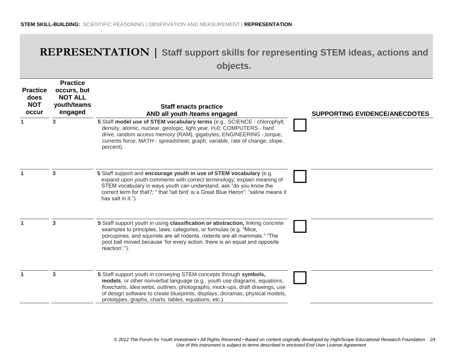## **REPRESENTATION | Staff support skills for representing STEM ideas, actions and objects.**

| <b>Practice</b><br>does<br><b>NOT</b><br>occur | <b>Practice</b><br>occurs, but<br><b>NOT ALL</b><br>youth/teams<br>engaged | <b>Staff enacts practice</b><br>AND all youth /teams engaged                                                                                                                                                                                                                                                                                                            | <b>SUPPORTING EVIDENCE/ANECDOTES</b> |
|------------------------------------------------|----------------------------------------------------------------------------|-------------------------------------------------------------------------------------------------------------------------------------------------------------------------------------------------------------------------------------------------------------------------------------------------------------------------------------------------------------------------|--------------------------------------|
|                                                | 3                                                                          | 5 Staff model use of STEM vocabulary terms (e.g., SCIENCE - chlorophyll,<br>density, atomic, nuclear, geologic, light year, H <sub>2</sub> 0; COMPUTERS - hard<br>drive, random access memory (RAM), gigabytes; ENGINEERING -, torque,<br>currents force; MATH - spreadsheet; graph, variable, rate of change, slope,<br>percent).                                      |                                      |
|                                                | 3                                                                          | 5 Staff support and encourage youth in use of STEM vocabulary (e.g.<br>expand upon youth comments with correct terminology; explain meaning of<br>STEM vocabulary in ways youth can understand, ask "do you know the<br>correct term for that?; "that 'tall bird' is a Great Blue Heron"; "saline means it<br>has salt in it.").                                        |                                      |
|                                                | 3                                                                          | 5 Staff support youth in using classification or abstraction, linking concrete<br>examples to principles, laws, categories, or formulas (e.g. "Mice,<br>porcupines, and squirrels are all rodents, rodents are all mammals." "The<br>pool ball moved because 'for every action, there is an equal and opposite<br>reaction'.").                                         |                                      |
|                                                | 3                                                                          | 5 Staff support youth in conveying STEM concepts through symbols,<br>models, or other nonverbal language (e.g., youth use diagrams, equations,<br>flowcharts, idea webs, outlines, photographs, mock-ups, draft drawings, use<br>of design software to create blueprints, displays, dioramas, physical models,<br>prototypes, graphs, charts, tables, equations, etc.). |                                      |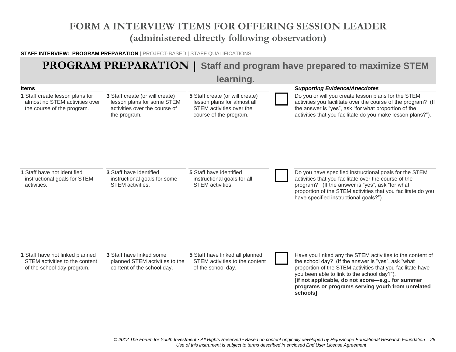## **FORM A INTERVIEW ITEMS FOR OFFERING SESSION LEADER (administered directly following observation)**

#### **STAFF INTERVIEW: PROGRAM PREPARATION** | PROJECT-BASED | STAFF QUALIFICATIONS

## **PROGRAM PREPARATION | Staff and program have prepared to maximize STEM**

**learning.**

|                                                                                                                 |                                                                                                                | <u>ival Hilly</u> i                                                                                                  |                                                                                                                                                                                                                                                                                                                                                  |
|-----------------------------------------------------------------------------------------------------------------|----------------------------------------------------------------------------------------------------------------|----------------------------------------------------------------------------------------------------------------------|--------------------------------------------------------------------------------------------------------------------------------------------------------------------------------------------------------------------------------------------------------------------------------------------------------------------------------------------------|
| <b>Items</b><br>1 Staff create lesson plans for<br>almost no STEM activities over<br>the course of the program. | 3 Staff create (or will create)<br>lesson plans for some STEM<br>activities over the course of<br>the program. | 5 Staff create (or will create)<br>lesson plans for almost all<br>STEM activities over the<br>course of the program. | <b>Supporting Evidence/Anecdotes</b><br>Do you or will you create lesson plans for the STEM<br>activities you facilitate over the course of the program? (If<br>the answer is "yes", ask "for what proportion of the<br>activities that you facilitate do you make lesson plans?").                                                              |
| 1 Staff have not identified<br>instructional goals for STEM<br>activities.                                      | <b>3 Staff have identified</b><br>instructional goals for some<br>STEM activities.                             | <b>5</b> Staff have identified<br>instructional goals for all<br>STEM activities.                                    | Do you have specified instructional goals for the STEM<br>activities that you facilitate over the course of the<br>program? (If the answer is "yes", ask "for what<br>proportion of the STEM activities that you facilitate do you<br>have specified instructional goals?").                                                                     |
| 1 Staff have not linked planned<br>STEM activities to the content<br>of the school day program.                 | 3 Staff have linked some<br>planned STEM activities to the<br>content of the school day.                       | 5 Staff have linked all planned<br>STEM activities to the content<br>of the school day.                              | Have you linked any the STEM activities to the content of<br>the school day? (If the answer is "yes", ask "what<br>proportion of the STEM activities that you facilitate have<br>you been able to link to the school day?").<br>[if not applicable, do not score-e.g for summer<br>programs or programs serving youth from unrelated<br>schools] |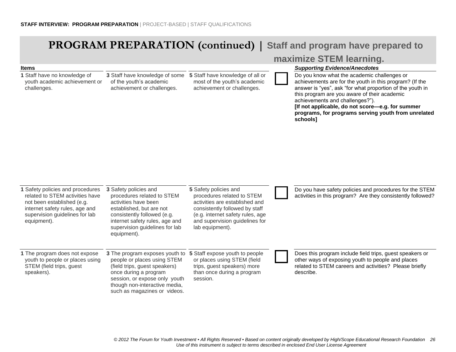**1** Staff have no knowledge of

# **PROGRAM PREPARATION (continued) | Staff and program have prepared to**

**3** Staff have knowledge of some **5** Staff have knowledge of all or

#### **maximize STEM learning.**

#### **Items** *Supporting Evidence/Anecdotes*

Do you know what the academic challenges or

| youth academic achievement or<br>challenges.                                                                                                                                         | of the youth's academic<br>achievement or challenges.                                                                                                                                                                     | most of the youth's academic<br>achievement or challenges.                                                                                                                                                       | achievements are for the youth in this program? (If the<br>answer is "yes", ask "for what proportion of the youth in<br>this program are you aware of their academic<br>achievements and challenges?").<br>[If not applicable, do not score-e.g. for summer<br>programs, for programs serving youth from unrelated<br>schools] |
|--------------------------------------------------------------------------------------------------------------------------------------------------------------------------------------|---------------------------------------------------------------------------------------------------------------------------------------------------------------------------------------------------------------------------|------------------------------------------------------------------------------------------------------------------------------------------------------------------------------------------------------------------|--------------------------------------------------------------------------------------------------------------------------------------------------------------------------------------------------------------------------------------------------------------------------------------------------------------------------------|
| 1 Safety policies and procedures<br>related to STEM activities have<br>not been established (e.g.<br>internet safety rules, age and<br>supervision guidelines for lab<br>equipment). | 3 Safety policies and<br>procedures related to STEM<br>activities have been<br>established, but are not<br>consistently followed (e.g.<br>internet safety rules, age and<br>supervision guidelines for lab<br>equipment). | 5 Safety policies and<br>procedures related to STEM<br>activities are established and<br>consistently followed by staff<br>(e.g. internet safety rules, age<br>and supervision guidelines for<br>lab equipment). | Do you have safety policies and procedures for the STEM<br>activities in this program? Are they consistently followed?                                                                                                                                                                                                         |
| 1 The program does not expose<br>youth to people or places using<br>STEM (field trips, guest<br>speakers).                                                                           | 3 The program exposes youth to<br>people or places using STEM<br>(field trips, guest speakers)<br>once during a program<br>session, or expose only youth<br>though non-interactive media,<br>such as magazines or videos. | 5 Staff expose youth to people<br>or places using STEM (field<br>trips, guest speakers) more<br>than once during a program<br>session.                                                                           | Does this program include field trips, guest speakers or<br>other ways of exposing youth to people and places<br>related to STEM careers and activities? Please briefly<br>describe.                                                                                                                                           |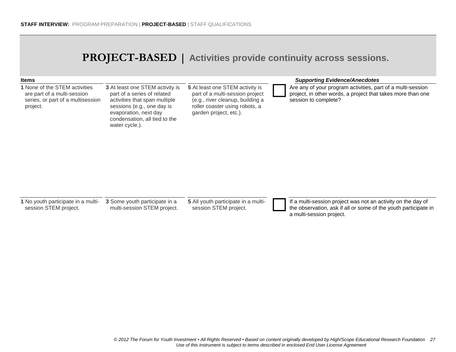## **PROJECT-BASED | Activities provide continuity across sessions.**

| <b>Items</b>                                                                                                  |                                                                                                                                                                                                                  |                                                                                                                                                                    | <b>Supporting Evidence/Anecdotes</b>                                                                                                               |
|---------------------------------------------------------------------------------------------------------------|------------------------------------------------------------------------------------------------------------------------------------------------------------------------------------------------------------------|--------------------------------------------------------------------------------------------------------------------------------------------------------------------|----------------------------------------------------------------------------------------------------------------------------------------------------|
| 1 None of the STEM activities<br>are part of a multi-session<br>series, or part of a multisession<br>project. | <b>3</b> At least one STEM activity is<br>part of a series of related<br>activities that span multiple<br>sessions (e.g., one day is<br>evaporation, next day<br>condensation, all tied to the<br>water cycle.). | 5 At least one STEM activity is<br>part of a multi-session project<br>(e.g., river cleanup, building a<br>roller coaster using robots, a<br>garden project, etc.). | Are any of your program activities, part of a multi-session<br>project, in other words, a project that takes more than one<br>session to complete? |

| 1 No youth participate in a multi- |
|------------------------------------|
| session STEM project.              |

**3** Some youth participate in a multi-session STEM project. **5** All youth participate in a multi-

All youth participate in a multi-<br>session STEM project.<br>the observation, ask if all or some of the youth participate in a multi-session project.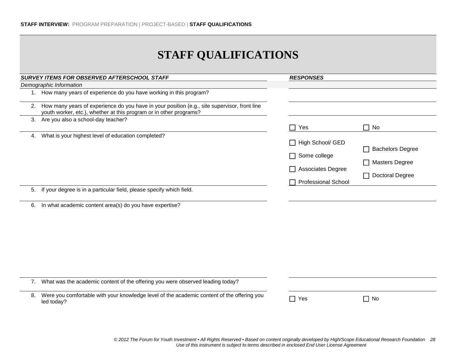## **STAFF QUALIFICATIONS**

|    | SURVEY ITEMS FOR OBSERVED AFTERSCHOOL STAFF                                                                                                                           | <b>RESPONSES</b>                                                                    |                                                                     |
|----|-----------------------------------------------------------------------------------------------------------------------------------------------------------------------|-------------------------------------------------------------------------------------|---------------------------------------------------------------------|
|    | Demographic Information                                                                                                                                               |                                                                                     |                                                                     |
|    | 1. How many years of experience do you have working in this program?                                                                                                  |                                                                                     |                                                                     |
|    | 2. How many years of experience do you have in your position (e.g., site supervisor, front line<br>youth worker, etc.), whether at this program or in other programs? |                                                                                     |                                                                     |
|    | 3. Are you also a school-day teacher?                                                                                                                                 | Yes                                                                                 | $\Box$ No                                                           |
|    | 4. What is your highest level of education completed?                                                                                                                 | High School/ GED<br>Some college<br>Associates Degree<br><b>Professional School</b> | <b>Bachelors Degree</b><br><b>Masters Degree</b><br>Doctoral Degree |
|    | 5. If your degree is in a particular field, please specify which field.                                                                                               |                                                                                     |                                                                     |
| 6. | In what academic content area(s) do you have expertise?                                                                                                               |                                                                                     |                                                                     |
|    | 7. What was the academic content of the offering you were observed leading today?                                                                                     |                                                                                     |                                                                     |
| 8. | Were you comfortable with your knowledge level of the academic content of the offering you<br>led today?                                                              | $\Box$ Yes                                                                          | $\Box$ No                                                           |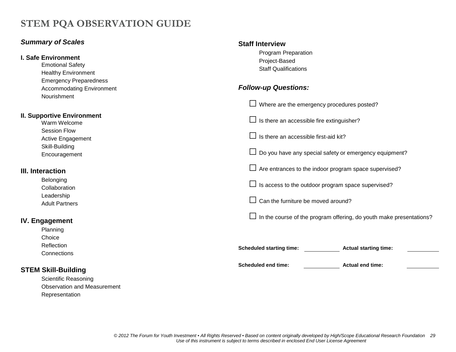## **STEM PQA OBSERVATION GUIDE**

#### *Summary of Scales*

Representation

| I. Safe Environment<br><b>Emotional Safety</b><br><b>Healthy Environment</b>     | Program Preparation<br>Project-Based<br><b>Staff Qualifications</b><br><b>Follow-up Questions:</b> |                                                                     |  |  |  |
|----------------------------------------------------------------------------------|----------------------------------------------------------------------------------------------------|---------------------------------------------------------------------|--|--|--|
| <b>Emergency Preparedness</b><br><b>Accommodating Environment</b><br>Nourishment |                                                                                                    |                                                                     |  |  |  |
|                                                                                  | $\Box$ Where are the emergency procedures posted?                                                  |                                                                     |  |  |  |
| <b>II. Supportive Environment</b><br>Warm Welcome                                |                                                                                                    | Is there an accessible fire extinguisher?                           |  |  |  |
| <b>Session Flow</b><br>Active Engagement                                         | Is there an accessible first-aid kit?                                                              |                                                                     |  |  |  |
| Skill-Building<br>Encouragement                                                  | $\Box$ Do you have any special safety or emergency equipment?                                      |                                                                     |  |  |  |
| III. Interaction                                                                 |                                                                                                    | $\Box$ Are entrances to the indoor program space supervised?        |  |  |  |
| Belonging<br>Collaboration                                                       | Is access to the outdoor program space supervised?                                                 |                                                                     |  |  |  |
| Leadership<br><b>Adult Partners</b>                                              | Can the furniture be moved around?<br>$\Box$                                                       |                                                                     |  |  |  |
| <b>IV. Engagement</b>                                                            | $\Box$                                                                                             | In the course of the program offering, do youth make presentations? |  |  |  |
| Planning<br>Choice                                                               |                                                                                                    |                                                                     |  |  |  |
| Reflection<br>Connections                                                        | <b>Scheduled starting time:</b>                                                                    | <b>Actual starting time:</b>                                        |  |  |  |
| <b>STEM Skill-Building</b>                                                       | <b>Scheduled end time:</b>                                                                         | <b>Actual end time:</b>                                             |  |  |  |
| Scientific Reasoning                                                             |                                                                                                    |                                                                     |  |  |  |
| <b>Observation and Measurement</b>                                               |                                                                                                    |                                                                     |  |  |  |

**Staff Interview**